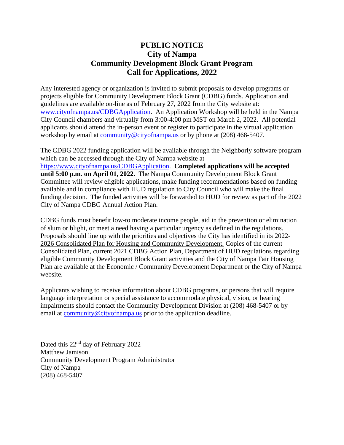## **PUBLIC NOTICE City of Nampa Community Development Block Grant Program Call for Applications, 2022**

Any interested agency or organization is invited to submit proposals to develop programs or projects eligible for Community Development Block Grant (CDBG) funds. Application and guidelines are available on-line as of February 27, 2022 from the City website at: [www.cityofnampa.us/CDBGApplication.](http://www.cityofnampa.us/CDBGApplication) An Application Workshop will be held in the Nampa City Council chambers and virtually from 3:00-4:00 pm MST on March 2, 2022. All potential applicants should attend the in-person event or register to participate in the virtual application workshop by email at [community@cityofnampa.us](mailto:community@cityofnampa.us) or by phone at (208) 468-5407.

The CDBG 2022 funding application will be available through the Neighborly software program which can be accessed through the City of Nampa website at [https://www.cityofnampa.us/CDBGApplication.](https://www.cityofnampa.us/CDBGApplication) **Completed applications will be accepted until 5:00 p.m. on April 01, 2022.** The Nampa Community Development Block Grant Committee will review eligible applications, make funding recommendations based on funding available and in compliance with HUD regulation to City Council who will make the final funding decision. The funded activities will be forwarded to HUD for review as part of the 2022 City of Nampa CDBG Annual Action Plan.

CDBG funds must benefit low-to moderate income people, aid in the prevention or elimination of slum or blight, or meet a need having a particular urgency as defined in the regulations. Proposals should line up with the priorities and objectives the City has identified in its 2022- 2026 Consolidated Plan for Housing and Community Development. Copies of the current Consolidated Plan, current 2021 CDBG Action Plan, Department of HUD regulations regarding eligible Community Development Block Grant activities and the City of Nampa Fair Housing Plan are available at the Economic / Community Development Department or the City of Nampa website.

Applicants wishing to receive information about CDBG programs, or persons that will require language interpretation or special assistance to accommodate physical, vision, or hearing impairments should contact the Community Development Division at (208) 468-5407 or by email at [community@cityofnampa.us](mailto:community@cityofnampa.us) prior to the application deadline.

Dated this 22<sup>nd</sup> day of February 2022 Matthew Jamison Community Development Program Administrator City of Nampa (208) 468-5407